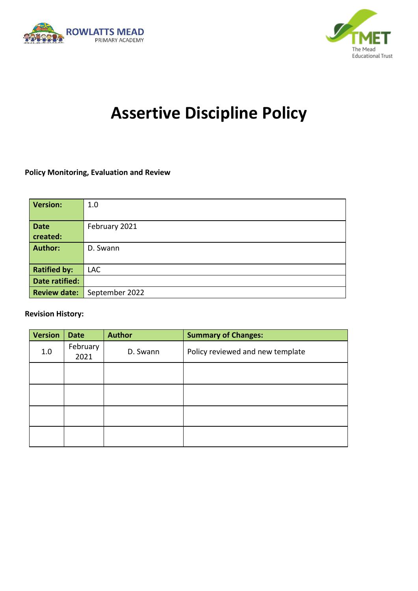



# **Assertive Discipline Policy**

#### **Policy Monitoring, Evaluation and Review**

| <b>Version:</b>     | 1.0            |
|---------------------|----------------|
| <b>Date</b>         | February 2021  |
| created:            |                |
| <b>Author:</b>      | D. Swann       |
|                     |                |
| <b>Ratified by:</b> | <b>LAC</b>     |
| Date ratified:      |                |
| <b>Review date:</b> | September 2022 |

#### **Revision History:**

| <b>Version</b> | <b>Date</b>      | <b>Author</b> | <b>Summary of Changes:</b>       |
|----------------|------------------|---------------|----------------------------------|
| 1.0            | February<br>2021 | D. Swann      | Policy reviewed and new template |
|                |                  |               |                                  |
|                |                  |               |                                  |
|                |                  |               |                                  |
|                |                  |               |                                  |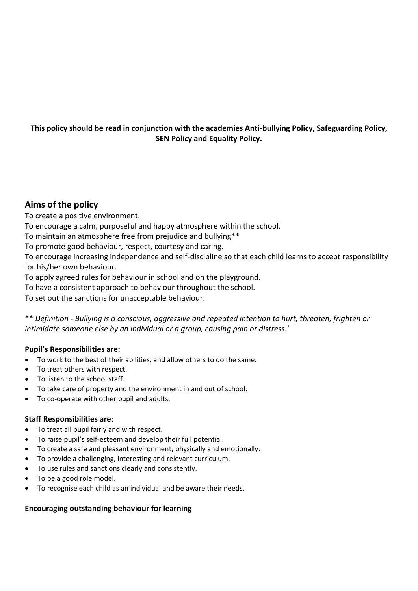#### **This policy should be read in conjunction with the academies Anti-bullying Policy, Safeguarding Policy, SEN Policy and Equality Policy.**

#### **Aims of the policy**

To create a positive environment.

To encourage a calm, purposeful and happy atmosphere within the school.

To maintain an atmosphere free from prejudice and bullying\*\*

To promote good behaviour, respect, courtesy and caring.

To encourage increasing independence and self-discipline so that each child learns to accept responsibility for his/her own behaviour.

To apply agreed rules for behaviour in school and on the playground.

To have a consistent approach to behaviour throughout the school.

To set out the sanctions for unacceptable behaviour.

\*\* *Definition - Bullying is a conscious, aggressive and repeated intention to hurt, threaten, frighten or intimidate someone else by an individual or a group, causing pain or distress.'*

#### **Pupil's Responsibilities are:**

- To work to the best of their abilities, and allow others to do the same.
- To treat others with respect.
- To listen to the school staff.
- To take care of property and the environment in and out of school.
- To co-operate with other pupil and adults.

#### **Staff Responsibilities are**:

- To treat all pupil fairly and with respect.
- To raise pupil's self-esteem and develop their full potential.
- To create a safe and pleasant environment, physically and emotionally.
- To provide a challenging, interesting and relevant curriculum.
- To use rules and sanctions clearly and consistently.
- To be a good role model.
- To recognise each child as an individual and be aware their needs.

#### **Encouraging outstanding behaviour for learning**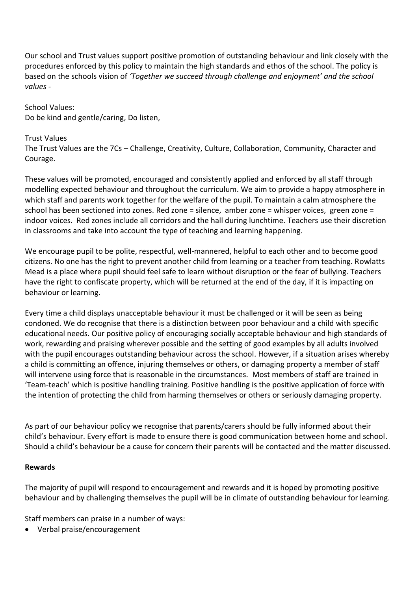Our school and Trust values support positive promotion of outstanding behaviour and link closely with the procedures enforced by this policy to maintain the high standards and ethos of the school. The policy is based on the schools vision of *'Together we succeed through challenge and enjoyment' and the school values -*

School Values: Do be kind and gentle/caring, Do listen,

#### Trust Values

The Trust Values are the 7Cs – Challenge, Creativity, Culture, Collaboration, Community, Character and Courage.

These values will be promoted, encouraged and consistently applied and enforced by all staff through modelling expected behaviour and throughout the curriculum. We aim to provide a happy atmosphere in which staff and parents work together for the welfare of the pupil. To maintain a calm atmosphere the school has been sectioned into zones. Red zone = silence, amber zone = whisper voices, green zone = indoor voices. Red zones include all corridors and the hall during lunchtime. Teachers use their discretion in classrooms and take into account the type of teaching and learning happening.

We encourage pupil to be polite, respectful, well-mannered, helpful to each other and to become good citizens. No one has the right to prevent another child from learning or a teacher from teaching. Rowlatts Mead is a place where pupil should feel safe to learn without disruption or the fear of bullying. Teachers have the right to confiscate property, which will be returned at the end of the day, if it is impacting on behaviour or learning.

Every time a child displays unacceptable behaviour it must be challenged or it will be seen as being condoned. We do recognise that there is a distinction between poor behaviour and a child with specific educational needs. Our positive policy of encouraging socially acceptable behaviour and high standards of work, rewarding and praising wherever possible and the setting of good examples by all adults involved with the pupil encourages outstanding behaviour across the school. However, if a situation arises whereby a child is committing an offence, injuring themselves or others, or damaging property a member of staff will intervene using force that is reasonable in the circumstances. Most members of staff are trained in 'Team-teach' which is positive handling training. Positive handling is the positive application of force with the intention of protecting the child from harming themselves or others or seriously damaging property.

As part of our behaviour policy we recognise that parents/carers should be fully informed about their child's behaviour. Every effort is made to ensure there is good communication between home and school. Should a child's behaviour be a cause for concern their parents will be contacted and the matter discussed.

#### **Rewards**

The majority of pupil will respond to encouragement and rewards and it is hoped by promoting positive behaviour and by challenging themselves the pupil will be in climate of outstanding behaviour for learning.

Staff members can praise in a number of ways:

Verbal praise/encouragement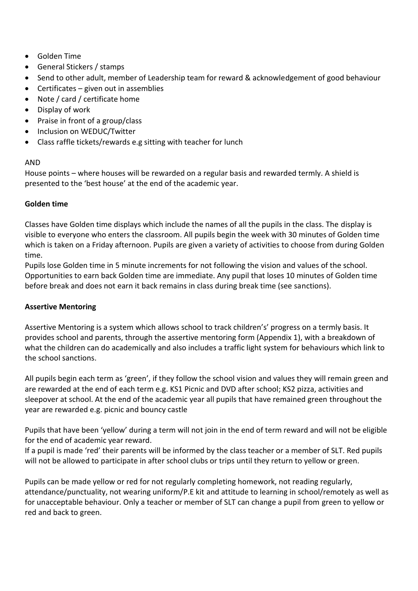- Golden Time
- General Stickers / stamps
- Send to other adult, member of Leadership team for reward & acknowledgement of good behaviour
- Certificates given out in assemblies
- Note / card / certificate home
- Display of work
- Praise in front of a group/class
- Inclusion on WEDUC/Twitter
- Class raffle tickets/rewards e.g sitting with teacher for lunch

#### AND

House points – where houses will be rewarded on a regular basis and rewarded termly. A shield is presented to the 'best house' at the end of the academic year.

#### **Golden time**

Classes have Golden time displays which include the names of all the pupils in the class. The display is visible to everyone who enters the classroom. All pupils begin the week with 30 minutes of Golden time which is taken on a Friday afternoon. Pupils are given a variety of activities to choose from during Golden time.

Pupils lose Golden time in 5 minute increments for not following the vision and values of the school. Opportunities to earn back Golden time are immediate. Any pupil that loses 10 minutes of Golden time before break and does not earn it back remains in class during break time (see sanctions).

#### **Assertive Mentoring**

Assertive Mentoring is a system which allows school to track children's' progress on a termly basis. It provides school and parents, through the assertive mentoring form (Appendix 1), with a breakdown of what the children can do academically and also includes a traffic light system for behaviours which link to the school sanctions.

All pupils begin each term as 'green', if they follow the school vision and values they will remain green and are rewarded at the end of each term e.g. KS1 Picnic and DVD after school; KS2 pizza, activities and sleepover at school. At the end of the academic year all pupils that have remained green throughout the year are rewarded e.g. picnic and bouncy castle

Pupils that have been 'yellow' during a term will not join in the end of term reward and will not be eligible for the end of academic year reward.

If a pupil is made 'red' their parents will be informed by the class teacher or a member of SLT. Red pupils will not be allowed to participate in after school clubs or trips until they return to yellow or green.

Pupils can be made yellow or red for not regularly completing homework, not reading regularly, attendance/punctuality, not wearing uniform/P.E kit and attitude to learning in school/remotely as well as for unacceptable behaviour. Only a teacher or member of SLT can change a pupil from green to yellow or red and back to green.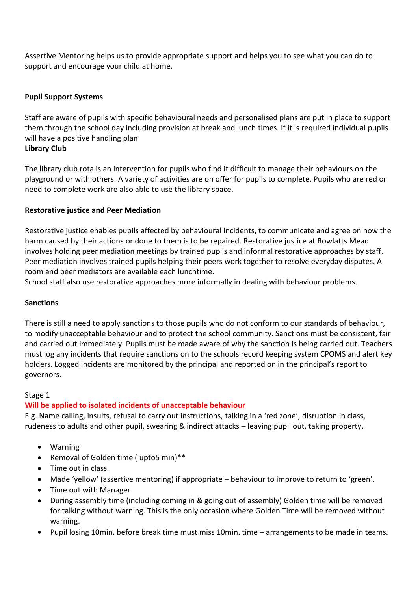Assertive Mentoring helps us to provide appropriate support and helps you to see what you can do to support and encourage your child at home.

#### **Pupil Support Systems**

Staff are aware of pupils with specific behavioural needs and personalised plans are put in place to support them through the school day including provision at break and lunch times. If it is required individual pupils will have a positive handling plan **Library Club**

The library club rota is an intervention for pupils who find it difficult to manage their behaviours on the playground or with others. A variety of activities are on offer for pupils to complete. Pupils who are red or need to complete work are also able to use the library space.

#### **Restorative justice and Peer Mediation**

Restorative justice enables pupils affected by behavioural incidents, to communicate and agree on how the harm caused by their actions or done to them is to be repaired. Restorative justice at Rowlatts Mead involves holding peer mediation meetings by trained pupils and informal restorative approaches by staff. Peer mediation involves trained pupils helping their peers work together to resolve everyday disputes. A room and peer mediators are available each lunchtime.

School staff also use restorative approaches more informally in dealing with behaviour problems.

#### **Sanctions**

There is still a need to apply sanctions to those pupils who do not conform to our standards of behaviour, to modify unacceptable behaviour and to protect the school community. Sanctions must be consistent, fair and carried out immediately. Pupils must be made aware of why the sanction is being carried out. Teachers must log any incidents that require sanctions on to the schools record keeping system CPOMS and alert key holders. Logged incidents are monitored by the principal and reported on in the principal's report to governors.

#### Stage 1

#### **Will be applied to isolated incidents of unacceptable behaviour**

E.g. Name calling, insults, refusal to carry out instructions, talking in a 'red zone', disruption in class, rudeness to adults and other pupil, swearing & indirect attacks – leaving pupil out, taking property.

- Warning
- Removal of Golden time ( upto5 min)\*\*
- Time out in class.
- Made 'yellow' (assertive mentoring) if appropriate behaviour to improve to return to 'green'.
- Time out with Manager
- During assembly time (including coming in & going out of assembly) Golden time will be removed for talking without warning. This is the only occasion where Golden Time will be removed without warning.
- Pupil losing 10min. before break time must miss 10min. time arrangements to be made in teams.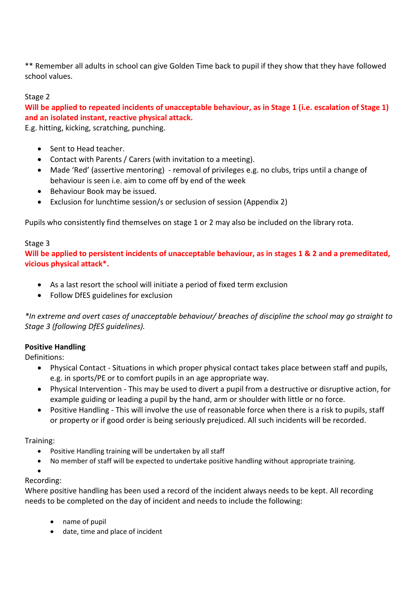\*\* Remember all adults in school can give Golden Time back to pupil if they show that they have followed school values.

#### Stage 2

**Will be applied to repeated incidents of unacceptable behaviour, as in Stage 1 (i.e. escalation of Stage 1) and an isolated instant, reactive physical attack.**

E.g. hitting, kicking, scratching, punching.

- Sent to Head teacher.
- Contact with Parents / Carers (with invitation to a meeting).
- Made 'Red' (assertive mentoring) removal of privileges e.g. no clubs, trips until a change of behaviour is seen i.e. aim to come off by end of the week
- Behaviour Book may be issued.
- Exclusion for lunchtime session/s or seclusion of session (Appendix 2)

Pupils who consistently find themselves on stage 1 or 2 may also be included on the library rota.

#### Stage 3

**Will be applied to persistent incidents of unacceptable behaviour, as in stages 1 & 2 and a premeditated, vicious physical attack\*.**

- As a last resort the school will initiate a period of fixed term exclusion
- Follow DfES guidelines for exclusion

*\*In extreme and overt cases of unacceptable behaviour/ breaches of discipline the school may go straight to Stage 3 (following DfES guidelines).*

#### **Positive Handling**

Definitions:

- Physical Contact Situations in which proper physical contact takes place between staff and pupils, e.g. in sports/PE or to comfort pupils in an age appropriate way.
- Physical Intervention This may be used to divert a pupil from a destructive or disruptive action, for example guiding or leading a pupil by the hand, arm or shoulder with little or no force.
- Positive Handling This will involve the use of reasonable force when there is a risk to pupils, staff or property or if good order is being seriously prejudiced. All such incidents will be recorded.

Training:

- Positive Handling training will be undertaken by all staff
- No member of staff will be expected to undertake positive handling without appropriate training.
- $\bullet$

#### Recording:

Where positive handling has been used a record of the incident always needs to be kept. All recording needs to be completed on the day of incident and needs to include the following:

- name of pupil
- date, time and place of incident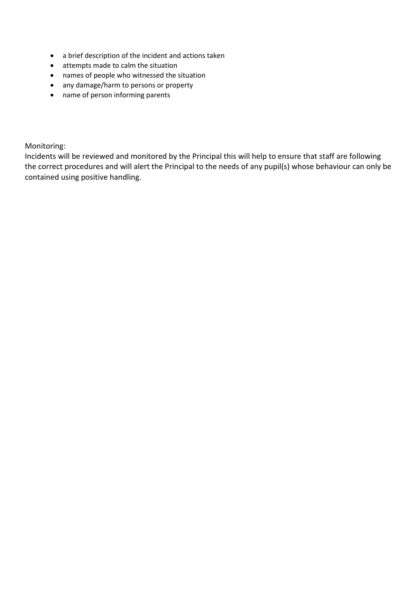- a brief description of the incident and actions taken
- attempts made to calm the situation
- names of people who witnessed the situation
- any damage/harm to persons or property
- name of person informing parents

Monitoring:

Incidents will be reviewed and monitored by the Principal this will help to ensure that staff are following the correct procedures and will alert the Principal to the needs of any pupil(s) whose behaviour can only be contained using positive handling.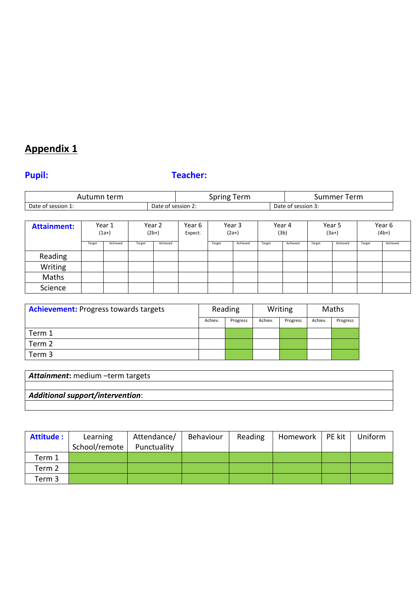## **Appendix 1**

# **Pupil: Teacher:**

| term<br>Autumn            |                       | pring<br>erm<br><b>SDI</b> | Summer<br>Term |                    |  |
|---------------------------|-----------------------|----------------------------|----------------|--------------------|--|
| Date<br>session 1:<br>∙ot | Date<br>of session 2. |                            |                | Date of session 3: |  |

| <b>Attainment:</b> | Year 1<br>$(1a+)$ |          | Year 2<br>$(2b+)$ |          | Year 6<br>Expect. | Year 3<br>$(2a+)$ |          | Year 4<br>(3b) |          | Year 5<br>$(3a+)$ |          | Year 6<br>$(4b+)$ |          |
|--------------------|-------------------|----------|-------------------|----------|-------------------|-------------------|----------|----------------|----------|-------------------|----------|-------------------|----------|
|                    | Target            | Achieved | Target            | Achieved |                   | Target            | Achieved | Target         | Achieved | Target            | Achieved | Target            | Achieved |
| Reading            |                   |          |                   |          |                   |                   |          |                |          |                   |          |                   |          |
| Writing            |                   |          |                   |          |                   |                   |          |                |          |                   |          |                   |          |
| Maths              |                   |          |                   |          |                   |                   |          |                |          |                   |          |                   |          |
| Science            |                   |          |                   |          |                   |                   |          |                |          |                   |          |                   |          |

| <b>Achievement:</b> Progress towards targets | Reading |          |         | Writing  | Maths   |          |
|----------------------------------------------|---------|----------|---------|----------|---------|----------|
|                                              | Achiev. | Progress | Achiev. | Progress | Achiev. | Progress |
| Term 1                                       |         |          |         |          |         |          |
| Term 2                                       |         |          |         |          |         |          |
| Term 3                                       |         |          |         |          |         |          |

| <b>Attainment:</b> medium -term targets |  |  |  |  |  |  |  |
|-----------------------------------------|--|--|--|--|--|--|--|
|                                         |  |  |  |  |  |  |  |
| <b>Additional support/intervention:</b> |  |  |  |  |  |  |  |
|                                         |  |  |  |  |  |  |  |

| <b>Attitude:</b>  | Learning      | Attendance/ | Behaviour | Reading | Homework | PE kit | Uniform |
|-------------------|---------------|-------------|-----------|---------|----------|--------|---------|
|                   | School/remote | Punctuality |           |         |          |        |         |
| Term 1            |               |             |           |         |          |        |         |
| Term <sub>2</sub> |               |             |           |         |          |        |         |
| Term 3            |               |             |           |         |          |        |         |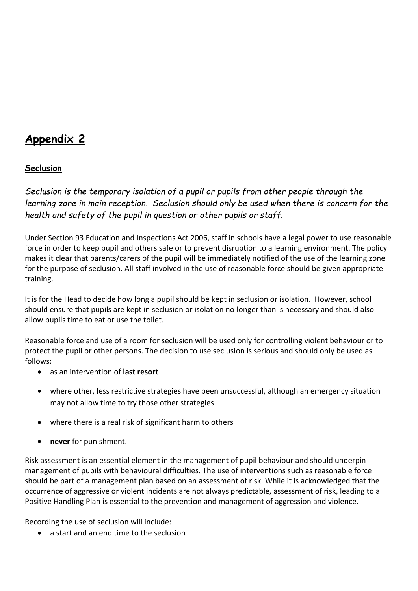# **Appendix 2**

### **Seclusion**

*Seclusion is the temporary isolation of a pupil or pupils from other people through the learning zone in main reception. Seclusion should only be used when there is concern for the health and safety of the pupil in question or other pupils or staff.*

Under Section 93 Education and Inspections Act 2006, staff in schools have a legal power to use reasonable force in order to keep pupil and others safe or to prevent disruption to a learning environment. The policy makes it clear that parents/carers of the pupil will be immediately notified of the use of the learning zone for the purpose of seclusion. All staff involved in the use of reasonable force should be given appropriate training.

It is for the Head to decide how long a pupil should be kept in seclusion or isolation. However, school should ensure that pupils are kept in seclusion or isolation no longer than is necessary and should also allow pupils time to eat or use the toilet.

Reasonable force and use of a room for seclusion will be used only for controlling violent behaviour or to protect the pupil or other persons. The decision to use seclusion is serious and should only be used as follows:

- as an intervention of **last resort**
- where other, less restrictive strategies have been unsuccessful, although an emergency situation may not allow time to try those other strategies
- where there is a real risk of significant harm to others
- **never** for punishment.

Risk assessment is an essential element in the management of pupil behaviour and should underpin management of pupils with behavioural difficulties. The use of interventions such as reasonable force should be part of a management plan based on an assessment of risk. While it is acknowledged that the occurrence of aggressive or violent incidents are not always predictable, assessment of risk, leading to a Positive Handling Plan is essential to the prevention and management of aggression and violence.

Recording the use of seclusion will include:

a start and an end time to the seclusion